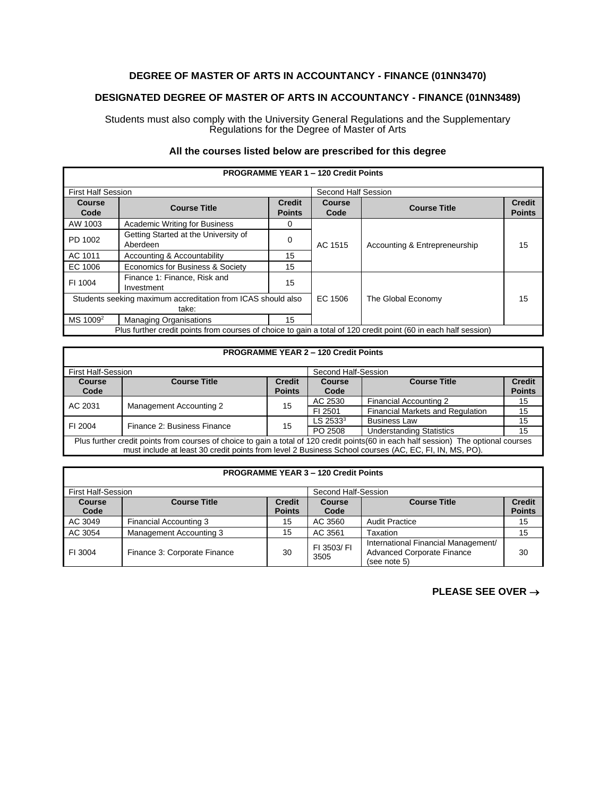# **DEGREE OF MASTER OF ARTS IN ACCOUNTANCY - FINANCE (01NN3470)**

## **DESIGNATED DEGREE OF MASTER OF ARTS IN ACCOUNTANCY - FINANCE (01NN3489)**

Students must also comply with the University General Regulations and the Supplementary Regulations for the Degree of Master of Arts

### **All the courses listed below are prescribed for this degree**

| <b>PROGRAMME YEAR 1 - 120 Credit Points</b>                                                                     |                                                  |                                |                     |                               |                                |
|-----------------------------------------------------------------------------------------------------------------|--------------------------------------------------|--------------------------------|---------------------|-------------------------------|--------------------------------|
| <b>First Half Session</b>                                                                                       |                                                  |                                | Second Half Session |                               |                                |
| Course<br>Code                                                                                                  | <b>Course Title</b>                              | <b>Credit</b><br><b>Points</b> | Course<br>Code      | <b>Course Title</b>           | <b>Credit</b><br><b>Points</b> |
| AW 1003                                                                                                         | <b>Academic Writing for Business</b>             | 0                              | AC 1515             | Accounting & Entrepreneurship | 15                             |
| PD 1002                                                                                                         | Getting Started at the University of<br>Aberdeen | 0                              |                     |                               |                                |
| AC 1011                                                                                                         | Accounting & Accountability                      | 15                             |                     |                               |                                |
| EC 1006                                                                                                         | Economics for Business & Society                 | 15                             |                     |                               |                                |
| FI 1004                                                                                                         | Finance 1: Finance, Risk and<br>Investment       | 15                             |                     |                               |                                |
| Students seeking maximum accreditation from ICAS should also                                                    |                                                  | EC 1506                        | The Global Economy  | 15                            |                                |
| take:                                                                                                           |                                                  |                                |                     |                               |                                |
| $MS 1009^2$                                                                                                     | <b>Managing Organisations</b>                    | 15                             |                     |                               |                                |
| Plus further credit points from courses of choice to gain a total of 120 credit point (60 in each half session) |                                                  |                                |                     |                               |                                |

| <b>PROGRAMME YEAR 2 - 120 Credit Points</b>                                                                                                                                                                                                    |                             |                                |                       |                                         |                                |
|------------------------------------------------------------------------------------------------------------------------------------------------------------------------------------------------------------------------------------------------|-----------------------------|--------------------------------|-----------------------|-----------------------------------------|--------------------------------|
| <b>First Half-Session</b>                                                                                                                                                                                                                      |                             |                                | Second Half-Session   |                                         |                                |
| <b>Course</b><br>Code                                                                                                                                                                                                                          | <b>Course Title</b>         | <b>Credit</b><br><b>Points</b> | <b>Course</b><br>Code | <b>Course Title</b>                     | <b>Credit</b><br><b>Points</b> |
| AC 2031                                                                                                                                                                                                                                        | Management Accounting 2     | 15                             | AC 2530               | Financial Accounting 2                  | 15                             |
|                                                                                                                                                                                                                                                |                             |                                | FI 2501               | <b>Financial Markets and Regulation</b> | 15                             |
| FI 2004                                                                                                                                                                                                                                        | Finance 2: Business Finance | 15                             | $LS$ 2533 $3$         | <b>Business Law</b>                     | 15                             |
|                                                                                                                                                                                                                                                |                             |                                | PO 2508               | <b>Understanding Statistics</b>         | 15                             |
| Plus further credit points from courses of choice to gain a total of 120 credit points (60 in each half session) The optional courses<br>must include at least 30 credit points from level 2 Business School courses (AC, EC, FI, IN, MS, PO). |                             |                                |                       |                                         |                                |

| <b>PROGRAMME YEAR 3 – 120 Credit Points</b> |                              |                                |                       |                                                                                          |                                |  |
|---------------------------------------------|------------------------------|--------------------------------|-----------------------|------------------------------------------------------------------------------------------|--------------------------------|--|
| First Half-Session                          |                              |                                | Second Half-Session   |                                                                                          |                                |  |
| <b>Course</b><br>Code                       | <b>Course Title</b>          | <b>Credit</b><br><b>Points</b> | <b>Course</b><br>Code | <b>Course Title</b>                                                                      | <b>Credit</b><br><b>Points</b> |  |
| AC 3049                                     | Financial Accounting 3       | 15                             | AC 3560               | <b>Audit Practice</b>                                                                    | 15                             |  |
| AC 3054                                     | Management Accounting 3      | 15                             | AC 3561               | Taxation                                                                                 | 15                             |  |
| FI 3004                                     | Finance 3: Corporate Finance | 30                             | FI 3503/ FI<br>3505   | International Financial Management/<br><b>Advanced Corporate Finance</b><br>(see note 5) | 30                             |  |

#### **PROGRAMME YEAR 3 – 120 Credit Points**

### **PLEASE SEE OVER** →